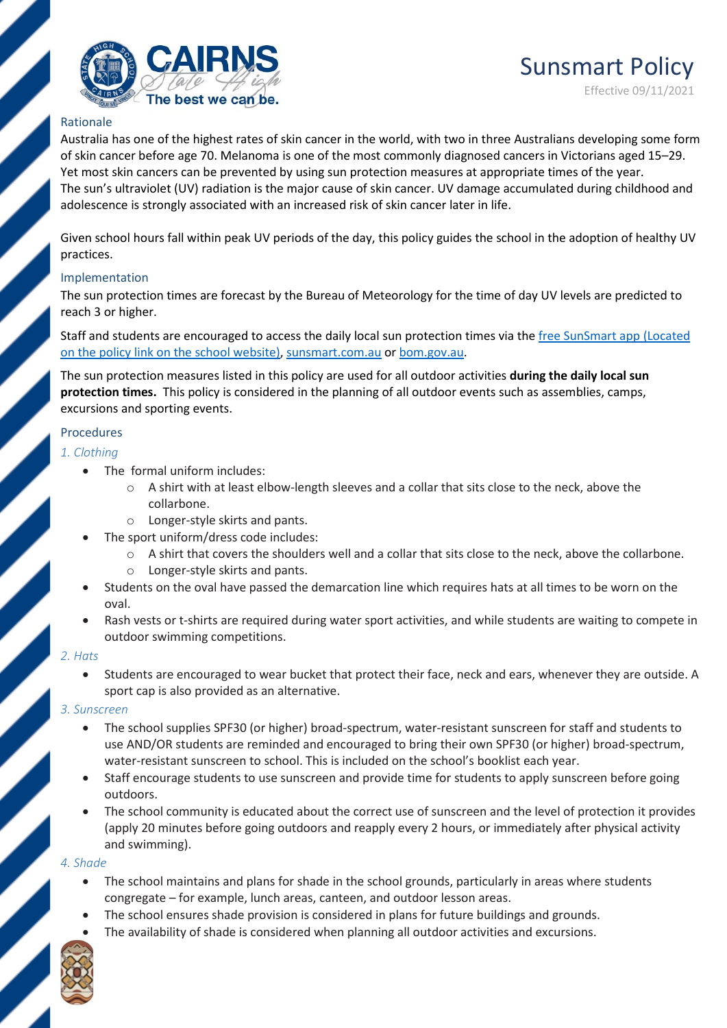

## Rationale

Australia has one of the highest rates of skin cancer in the world, with two in three Australians developing some form of skin cancer before age 70. Melanoma is one of the most commonly diagnosed cancers in Victorians aged 15–29. Yet most skin cancers can be prevented by using sun protection measures at appropriate times of the year. The sun's ultraviolet (UV) radiation is the major cause of skin cancer. UV damage accumulated during childhood and adolescence is strongly associated with an increased risk of skin cancer later in life.

Given school hours fall within peak UV periods of the day, this policy guides the school in the adoption of healthy UV practices.

### Implementation

The sun protection times are forecast by the Bureau of Meteorology for the time of day UV levels are predicted to reach 3 or higher.

Staff and students are encouraged to access the daily local sun protection times via the [free SunSmart app](http://www.sunsmart.com.au/tools/interactive-tools/free-sunsmart-app-campaign) (Located on the policy link on the school website)[, sunsmart.com.au](http://www.sunsmart.com.au/) or [bom.gov.au.](http://www.bom.gov.au/)

The sun protection measures listed in this policy are used for all outdoor activities **during the daily local sun protection times.** This policy is considered in the planning of all outdoor events such as assemblies, camps, excursions and sporting events.

### Procedures

### *1. Clothing*

- The formal uniform includes:
	- o A shirt with at least elbow-length sleeves and a collar that sits close to the neck, above the collarbone.
	- o Longer-style skirts and pants.
- The sport uniform/dress code includes:
	- o A shirt that covers the shoulders well and a collar that sits close to the neck, above the collarbone.
	- o Longer-style skirts and pants.
- Students on the oval have passed the demarcation line which requires hats at all times to be worn on the oval.
- Rash vests or t-shirts are required during water sport activities, and while students are waiting to compete in outdoor swimming competitions.

### *2. Hats*

• Students are encouraged to wear bucket that protect their face, neck and ears, whenever they are outside. A sport cap is also provided as an alternative.

### *3. Sunscreen*

- The school supplies SPF30 (or higher) broad-spectrum, water-resistant sunscreen for staff and students to use AND/OR students are reminded and encouraged to bring their own SPF30 (or higher) broad-spectrum, water-resistant sunscreen to school. This is included on the school's booklist each year.
- Staff encourage students to use sunscreen and provide time for students to apply sunscreen before going outdoors.
- The school community is educated about the correct use of sunscreen and the level of protection it provides (apply 20 minutes before going outdoors and reapply every 2 hours, or immediately after physical activity and swimming).

### *4. Shade*

- The school maintains and plans for shade in the school grounds, particularly in areas where students congregate – for example, lunch areas, canteen, and outdoor lesson areas.
- The school ensures shade provision is considered in plans for future buildings and grounds.
- The availability of shade is considered when planning all outdoor activities and excursions.